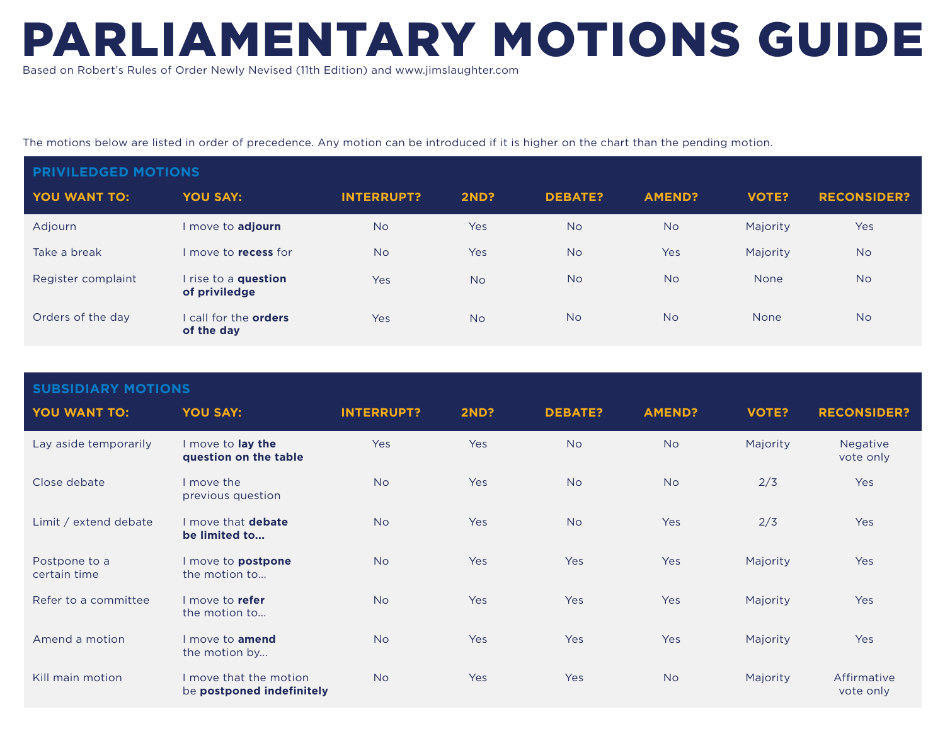## PARLIAMENTARY MOTIONS GUIDE

Based on Robert's Rules of Order Newly Nevised (11th Edition) and www.jimslaughter.com

The motions below are listed in order of precedence. Any motion can be introduced if it is higher on the chart than the pending motion.

| <b>PRIVILEDGED MOTIONS</b> |                                          |                   |             |                |               |              |                    |  |
|----------------------------|------------------------------------------|-------------------|-------------|----------------|---------------|--------------|--------------------|--|
| YOU WANT TO:               | <b>YOU SAY:</b>                          | <b>INTERRUPT?</b> | <b>2ND?</b> | <b>DEBATE?</b> | <b>AMEND?</b> | <b>VOTE?</b> | <b>RECONSIDER?</b> |  |
| Adjourn                    | I move to adjourn                        | <b>No</b>         | Yes         | <b>No</b>      | <b>No</b>     | Majority     | <b>Yes</b>         |  |
| Take a break               | I move to <b>recess</b> for              | <b>No</b>         | Yes         | <b>No</b>      | Yes           | Majority     | <b>No</b>          |  |
| Register complaint         | I rise to a question<br>of priviledge    | Yes               | <b>No</b>   | <b>No</b>      | <b>No</b>     | <b>None</b>  | <b>No</b>          |  |
| Orders of the day          | call for the <b>orders</b><br>of the day | Yes               | <b>No</b>   | <b>No</b>      | <b>No</b>     | <b>None</b>  | <b>No</b>          |  |

| <b>SUBSIDIARY MOTIONS</b>     |                                                     |                   |             |                |               |              |                          |  |
|-------------------------------|-----------------------------------------------------|-------------------|-------------|----------------|---------------|--------------|--------------------------|--|
| YOU WANT TO:                  | <b>YOU SAY:</b>                                     | <b>INTERRUPT?</b> | <b>2ND?</b> | <b>DEBATE?</b> | <b>AMEND?</b> | <b>VOTE?</b> | <b>RECONSIDER?</b>       |  |
| Lay aside temporarily         | I move to lay the<br>question on the table          | Yes               | Yes         | <b>No</b>      | <b>No</b>     | Majority     | Negative<br>vote only    |  |
| Close debate                  | I move the<br>previous question                     | <b>No</b>         | Yes         | <b>No</b>      | <b>No</b>     | 2/3          | Yes                      |  |
| Limit / extend debate         | I move that debate<br>be limited to                 | <b>No</b>         | Yes         | <b>No</b>      | Yes           | 2/3          | Yes                      |  |
| Postpone to a<br>certain time | I move to <b>postpone</b><br>the motion to          | <b>No</b>         | Yes         | Yes            | Yes           | Majority     | Yes                      |  |
| Refer to a committee          | I move to refer<br>the motion to                    | <b>No</b>         | Yes         | Yes            | Yes           | Majority     | Yes                      |  |
| Amend a motion                | I move to <b>amend</b><br>the motion by             | <b>No</b>         | Yes         | Yes            | Yes           | Majority     | Yes                      |  |
| Kill main motion              | I move that the motion<br>be postponed indefinitely | <b>No</b>         | Yes         | Yes            | <b>No</b>     | Majority     | Affirmative<br>vote only |  |